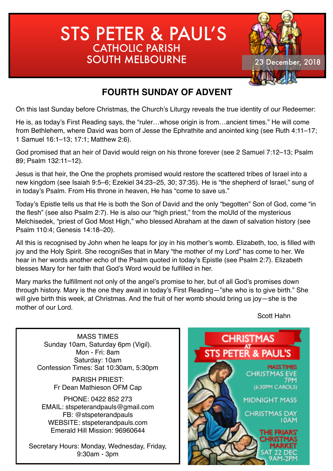# STS PETER & PAUL'S CATHOLIC PARISH SOUTH MELBOURNE 23 December, 2018



## **FOURTH SUNDAY OF ADVENT**

On this last Sunday before Christmas, the Church's Liturgy reveals the true identity of our Redeemer:

He is, as today's First Reading says, the "ruler…whose origin is from…ancient times." He will come from Bethlehem, where David was born of Jesse the Ephrathite and anointed king (see Ruth 4:11–17; 1 Samuel 16:1–13; 17:1; Matthew 2:6).

God promised that an heir of David would reign on his throne forever (see 2 Samuel 7:12–13; Psalm 89; Psalm 132:11–12).

Jesus is that heir, the One the prophets promised would restore the scattered tribes of Israel into a new kingdom (see Isaiah 9:5–6; Ezekiel 34:23–25, 30; 37:35). He is "the shepherd of Israel," sung of in today's Psalm. From His throne in heaven, He has "come to save us."

Today's Epistle tells us that He is both the Son of David and the only "begotten" Son of God, come "in the flesh" (see also Psalm 2:7). He is also our "high priest," from the moUld of the mysterious Melchisedek, "priest of God Most High," who blessed Abraham at the dawn of salvation history (see Psalm 110:4; Genesis 14:18–20).

All this is recognised by John when he leaps for joy in his mother's womb. Elizabeth, too, is filled with joy and the Holy Spirit. She recogniSes that in Mary "the mother of my Lord" has come to her. We hear in her words another echo of the Psalm quoted in today's Epistle (see Psalm 2:7). Elizabeth blesses Mary for her faith that God's Word would be fulfilled in her.

Mary marks the fulfillment not only of the angel's promise to her, but of all God's promises down through history. Mary is the one they await in today's First Reading—"she who is to give birth." She will give birth this week, at Christmas. And the fruit of her womb should bring us joy—she is the mother of our Lord.

Scott Hahn

MASS TIMES Sunday 10am, Saturday 6pm (Vigil). Mon - Fri: 8am Saturday: 10am Confession Times: Sat 10:30am, 5:30pm

> PARISH PRIEST: Fr Dean Mathieson OFM Cap

PHONE: 0422 852 273 EMAIL: stspeterandpauls@gmail.com FB: @stspeterandpauls WEBSITE: stspeterandpauls.com Emerald Hill Mission: 96960644

Secretary Hours: Monday, Wednesday, Friday, 9:30am - 3pm

## **CHRISTMAS** STS PETER & PAUL'S **MASS TIMES CHRISTMAS EVE**

**TPM** (6:30PM CAROLS)

**MIDNIGHT MASS** 

**CHRISTMAS DAY IOAM** 

> THE FRIARS' **CHRISTMA**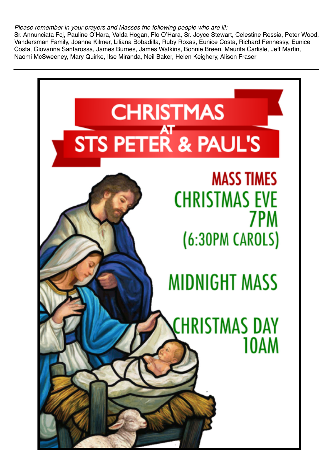#### *Please remember in your prayers and Masses the following people who are ill:*

Sr. Annunciata Fcj, Pauline O'Hara, Valda Hogan, Flo O'Hara, Sr. Joyce Stewart, Celestine Ressia, Peter Wood, Vandersman Family, Joanne Kilmer, Liliana Bobadilla, Ruby Roxas, Eunice Costa, Richard Fennessy, Eunice Costa, Giovanna Santarossa, James Burnes, James Watkins, Bonnie Breen, Maurita Carlisle, Jeff Martin, Naomi McSweeney, Mary Quirke, Ilse Miranda, Neil Baker, Helen Keighery, Alison Fraser